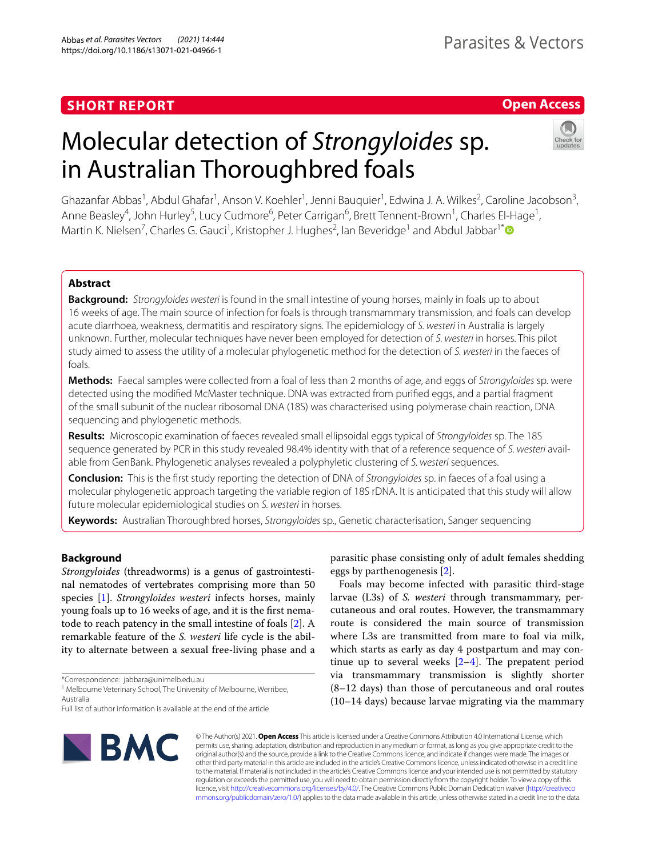## **SHORT REPORT**

## **Open Access**

# Molecular detection of *Strongyloides* sp. in Australian Thoroughbred foals



Ghazanfar Abbas<sup>1</sup>, Abdul Ghafar<sup>1</sup>, Anson V. Koehler<sup>1</sup>, Jenni Bauquier<sup>1</sup>, Edwina J. A. Wilkes<sup>2</sup>, Caroline Jacobson<sup>3</sup>, Anne Beasley<sup>4</sup>, John Hurley<sup>5</sup>, Lucy Cudmore<sup>6</sup>, Peter Carrigan<sup>6</sup>, Brett Tennent-Brown<sup>1</sup>, Charles El-Hage<sup>1</sup>, Martin K. Nielsen<sup>7</sup>, Charles G. Gauci<sup>1</sup>, Kristopher J. Hughes<sup>2</sup>, lan Beveridge<sup>1</sup> and Abdul Jabbar<sup>1[\\*](http://orcid.org/0000-0001-8888-0046)</sup>

## **Abstract**

**Background:** *Strongyloides westeri* is found in the small intestine of young horses, mainly in foals up to about 16 weeks of age. The main source of infection for foals is through transmammary transmission, and foals can develop acute diarrhoea, weakness, dermatitis and respiratory signs. The epidemiology of *S. westeri* in Australia is largely unknown. Further, molecular techniques have never been employed for detection of *S. westeri* in horses. This pilot study aimed to assess the utility of a molecular phylogenetic method for the detection of *S. westeri* in the faeces of foals.

**Methods:** Faecal samples were collected from a foal of less than 2 months of age, and eggs of *Strongyloides* sp. were detected using the modifed McMaster technique. DNA was extracted from purifed eggs, and a partial fragment of the small subunit of the nuclear ribosomal DNA (18S) was characterised using polymerase chain reaction, DNA sequencing and phylogenetic methods.

**Results:** Microscopic examination of faeces revealed small ellipsoidal eggs typical of *Strongyloides* sp. The 18S sequence generated by PCR in this study revealed 98.4% identity with that of a reference sequence of *S. westeri* avail‑ able from GenBank. Phylogenetic analyses revealed a polyphyletic clustering of *S. westeri* sequences.

**Conclusion:** This is the frst study reporting the detection of DNA of *Strongyloides* sp. in faeces of a foal using a molecular phylogenetic approach targeting the variable region of 18S rDNA. It is anticipated that this study will allow future molecular epidemiological studies on *S. westeri* in horses.

**Keywords:** Australian Thoroughbred horses, *Strongyloides* sp., Genetic characterisation, Sanger sequencing

## **Background**

*Strongyloides* (threadworms) is a genus of gastrointestinal nematodes of vertebrates comprising more than 50 species [\[1](#page-6-0)]. *Strongyloides westeri* infects horses, mainly young foals up to 16 weeks of age, and it is the frst nematode to reach patency in the small intestine of foals [[2\]](#page-6-1). A remarkable feature of the *S. westeri* life cycle is the ability to alternate between a sexual free-living phase and a

\*Correspondence: jabbara@unimelb.edu.au

<sup>1</sup> Melbourne Veterinary School, The University of Melbourne, Werribee, Australia

**EMC** 

parasitic phase consisting only of adult females shedding eggs by parthenogenesis [\[2\]](#page-6-1).

Foals may become infected with parasitic third-stage larvae (L3s) of *S. westeri* through transmammary, percutaneous and oral routes. However, the transmammary route is considered the main source of transmission where L3s are transmitted from mare to foal via milk, which starts as early as day 4 postpartum and may continue up to several weeks  $[2-4]$  $[2-4]$  $[2-4]$ . The prepatent period via transmammary transmission is slightly shorter  $(8-12$  days) than those of percutaneous and oral routes (10–14 days) because larvae migrating via the mammary

© The Author(s) 2021. **Open Access** This article is licensed under a Creative Commons Attribution 4.0 International License, which permits use, sharing, adaptation, distribution and reproduction in any medium or format, as long as you give appropriate credit to the original author(s) and the source, provide a link to the Creative Commons licence, and indicate if changes were made. The images or other third party material in this article are included in the article's Creative Commons licence, unless indicated otherwise in a credit line to the material. If material is not included in the article's Creative Commons licence and your intended use is not permitted by statutory regulation or exceeds the permitted use, you will need to obtain permission directly from the copyright holder. To view a copy of this licence, visit [http://creativecommons.org/licenses/by/4.0/.](http://creativecommons.org/licenses/by/4.0/) The Creative Commons Public Domain Dedication waiver ([http://creativeco](http://creativecommons.org/publicdomain/zero/1.0/) [mmons.org/publicdomain/zero/1.0/](http://creativecommons.org/publicdomain/zero/1.0/)) applies to the data made available in this article, unless otherwise stated in a credit line to the data.

Full list of author information is available at the end of the article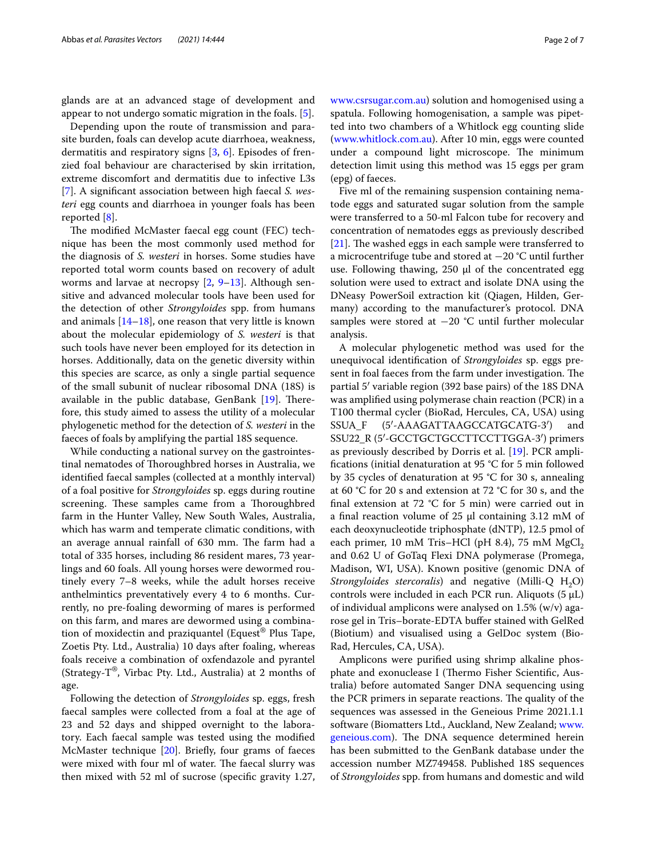glands are at an advanced stage of development and appear to not undergo somatic migration in the foals. [\[5](#page-6-3)].

Depending upon the route of transmission and parasite burden, foals can develop acute diarrhoea, weakness, dermatitis and respiratory signs [\[3](#page-6-4), [6\]](#page-6-5). Episodes of frenzied foal behaviour are characterised by skin irritation, extreme discomfort and dermatitis due to infective L3s [[7\]](#page-6-6). A signifcant association between high faecal *S. westeri* egg counts and diarrhoea in younger foals has been reported [[8\]](#page-6-7).

The modified McMaster faecal egg count (FEC) technique has been the most commonly used method for the diagnosis of *S. westeri* in horses. Some studies have reported total worm counts based on recovery of adult worms and larvae at necropsy [\[2](#page-6-1), [9](#page-6-8)[–13\]](#page-6-9). Although sensitive and advanced molecular tools have been used for the detection of other *Strongyloides* spp. from humans and animals [[14–](#page-6-10)[18\]](#page-6-11), one reason that very little is known about the molecular epidemiology of *S. westeri* is that such tools have never been employed for its detection in horses. Additionally, data on the genetic diversity within this species are scarce, as only a single partial sequence of the small subunit of nuclear ribosomal DNA (18S) is available in the public database, GenBank  $[19]$  $[19]$ . Therefore, this study aimed to assess the utility of a molecular phylogenetic method for the detection of *S. westeri* in the faeces of foals by amplifying the partial 18S sequence.

While conducting a national survey on the gastrointestinal nematodes of Thoroughbred horses in Australia, we identifed faecal samples (collected at a monthly interval) of a foal positive for *Strongyloides* sp. eggs during routine screening. These samples came from a Thoroughbred farm in the Hunter Valley, New South Wales, Australia, which has warm and temperate climatic conditions, with an average annual rainfall of 630 mm. The farm had a total of 335 horses, including 86 resident mares, 73 yearlings and 60 foals. All young horses were dewormed routinely every 7–8 weeks, while the adult horses receive anthelmintics preventatively every 4 to 6 months. Currently, no pre-foaling deworming of mares is performed on this farm, and mares are dewormed using a combination of moxidectin and praziquantel (Equest® Plus Tape, Zoetis Pty. Ltd., Australia) 10 days after foaling, whereas foals receive a combination of oxfendazole and pyrantel (Strategy-T®, Virbac Pty. Ltd., Australia) at 2 months of age.

Following the detection of *Strongyloides* sp. eggs, fresh faecal samples were collected from a foal at the age of 23 and 52 days and shipped overnight to the laboratory. Each faecal sample was tested using the modifed McMaster technique [\[20](#page-6-13)]. Briefy, four grams of faeces were mixed with four ml of water. The faecal slurry was then mixed with 52 ml of sucrose (specifc gravity 1.27,

[www.csrsugar.com.au](http://www.csrsugar.com.au)) solution and homogenised using a spatula. Following homogenisation, a sample was pipetted into two chambers of a Whitlock egg counting slide ([www.whitlock.com.au](http://www.whitlock.com.au)). After 10 min, eggs were counted under a compound light microscope. The minimum detection limit using this method was 15 eggs per gram (epg) of faeces.

Five ml of the remaining suspension containing nematode eggs and saturated sugar solution from the sample were transferred to a 50-ml Falcon tube for recovery and concentration of nematodes eggs as previously described [ $21$ ]. The washed eggs in each sample were transferred to a microcentrifuge tube and stored at −20 °C until further use. Following thawing,  $250 \mu l$  of the concentrated egg solution were used to extract and isolate DNA using the DNeasy PowerSoil extraction kit (Qiagen, Hilden, Germany) according to the manufacturer's protocol. DNA samples were stored at −20 °C until further molecular analysis.

A molecular phylogenetic method was used for the unequivocal identifcation of *Strongyloides* sp. eggs present in foal faeces from the farm under investigation. The partial 5′ variable region (392 base pairs) of the 18S DNA was amplifed using polymerase chain reaction (PCR) in a T100 thermal cycler (BioRad, Hercules, CA, USA) using SSUA\_F (5′-AAAGATTAAGCCATGCATG-3′) and SSU22\_R (5′-GCCTGCTGCCTTCCTTGGA-3′) primers as previously described by Dorris et al. [\[19\]](#page-6-12). PCR amplifcations (initial denaturation at 95 °C for 5 min followed by 35 cycles of denaturation at 95 °C for 30 s, annealing at 60 °C for 20 s and extension at 72 °C for 30 s, and the final extension at 72 °C for 5 min) were carried out in a fnal reaction volume of 25 µl containing 3.12 mM of each deoxynucleotide triphosphate (dNTP), 12.5 pmol of each primer, 10 mM Tris–HCl (pH 8.4), 75 mM  $MgCl<sub>2</sub>$ and 0.62 U of GoTaq Flexi DNA polymerase (Promega, Madison, WI, USA). Known positive (genomic DNA of *Strongyloides stercoralis*) and negative (Milli-Q H<sub>2</sub>O) controls were included in each PCR run. Aliquots (5 μL) of individual amplicons were analysed on 1.5% (w/v) agarose gel in Tris–borate-EDTA bufer stained with GelRed (Biotium) and visualised using a GelDoc system (Bio-Rad, Hercules, CA, USA).

Amplicons were purifed using shrimp alkaline phosphate and exonuclease I (Thermo Fisher Scientific, Australia) before automated Sanger DNA sequencing using the PCR primers in separate reactions. The quality of the sequences was assessed in the Geneious Prime 2021.1.1 software (Biomatters Ltd., Auckland, New Zealand; [www.](http://www.geneious.com) [geneious.com\)](http://www.geneious.com). The DNA sequence determined herein has been submitted to the GenBank database under the accession number MZ749458. Published 18S sequences of *Strongyloides* spp. from humans and domestic and wild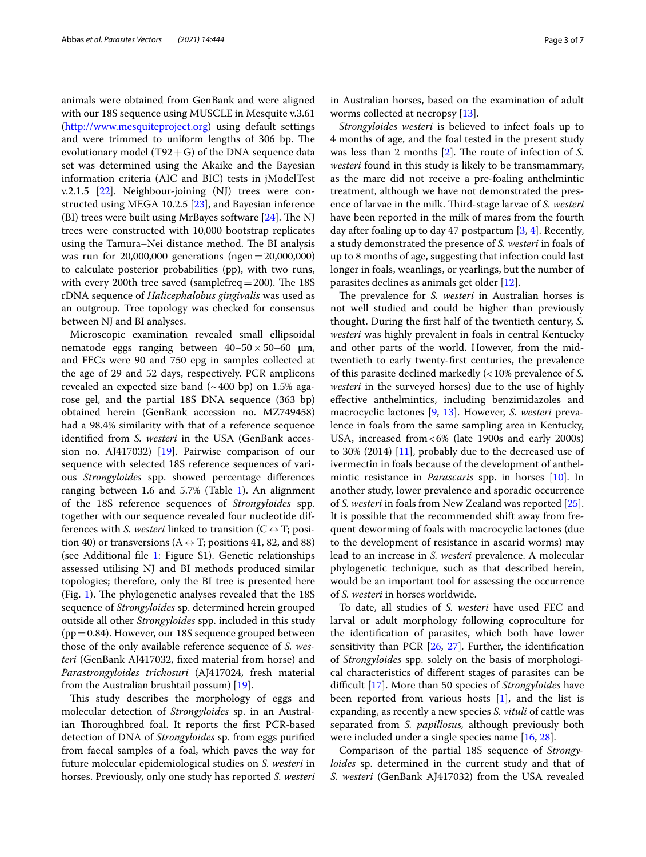animals were obtained from GenBank and were aligned with our 18S sequence using MUSCLE in Mesquite v.3.61 ([http://www.mesquiteproject.org\)](http://www.mesquiteproject.org) using default settings and were trimmed to uniform lengths of 306 bp. The evolutionary model (T92 + G) of the DNA sequence data set was determined using the Akaike and the Bayesian information criteria (AIC and BIC) tests in jModelTest v.2.1.5 [[22\]](#page-6-15). Neighbour-joining (NJ) trees were constructed using MEGA 10.2.5 [[23\]](#page-6-16), and Bayesian inference (BI) trees were built using MrBayes software  $[24]$ . The NJ trees were constructed with 10,000 bootstrap replicates using the Tamura–Nei distance method. The BI analysis was run for 20,000,000 generations (ngen=20,000,000) to calculate posterior probabilities (pp), with two runs, with every 200th tree saved (samplefreq  $=$  200). The 18S rDNA sequence of *Halicephalobus gingivalis* was used as an outgroup. Tree topology was checked for consensus between NJ and BI analyses.

Microscopic examination revealed small ellipsoidal nematode eggs ranging between  $40-50 \times 50-60$  µm, and FECs were 90 and 750 epg in samples collected at the age of 29 and 52 days, respectively. PCR amplicons revealed an expected size band  $({\sim}400$  bp) on 1.5% agarose gel, and the partial 18S DNA sequence (363 bp) obtained herein (GenBank accession no. MZ749458) had a 98.4% similarity with that of a reference sequence identifed from *S. westeri* in the USA (GenBank accession no. AJ417032) [[19](#page-6-12)]. Pairwise comparison of our sequence with selected 18S reference sequences of various *Strongyloides* spp. showed percentage diferences ranging between [1](#page-3-0).6 and  $5.7\%$  (Table 1). An alignment of the 18S reference sequences of *Strongyloides* spp. together with our sequence revealed four nucleotide differences with *S. westeri* linked to transition ( $C \leftrightarrow T$ ; position 40) or transversions (A  $\leftrightarrow$  T; positions 41, 82, and 88) (see Additional fle [1:](#page-5-0) Figure S1). Genetic relationships assessed utilising NJ and BI methods produced similar topologies; therefore, only the BI tree is presented here (Fig. [1\)](#page-4-0). The phylogenetic analyses revealed that the  $18S$ sequence of *Strongyloides* sp. determined herein grouped outside all other *Strongyloides* spp. included in this study  $(pp=0.84)$ . However, our 18S sequence grouped between those of the only available reference sequence of *S. westeri* (GenBank AJ417032, fxed material from horse) and *Parastrongyloides trichosuri* (AJ417024, fresh material from the Australian brushtail possum) [\[19](#page-6-12)].

This study describes the morphology of eggs and molecular detection of *Strongyloides* sp. in an Australian Thoroughbred foal. It reports the first PCR-based detection of DNA of *Strongyloides* sp. from eggs purifed from faecal samples of a foal, which paves the way for future molecular epidemiological studies on *S. westeri* in horses. Previously, only one study has reported *S. westeri* in Australian horses, based on the examination of adult worms collected at necropsy [[13](#page-6-9)].

*Strongyloides westeri* is believed to infect foals up to 4 months of age, and the foal tested in the present study was less than 2 months [\[2](#page-6-1)]. The route of infection of *S*. *westeri* found in this study is likely to be transmammary, as the mare did not receive a pre-foaling anthelmintic treatment, although we have not demonstrated the presence of larvae in the milk. Third-stage larvae of *S. westeri* have been reported in the milk of mares from the fourth day after foaling up to day 47 postpartum  $[3, 4]$  $[3, 4]$  $[3, 4]$ . Recently, a study demonstrated the presence of *S. westeri* in foals of up to 8 months of age, suggesting that infection could last longer in foals, weanlings, or yearlings, but the number of parasites declines as animals get older [[12\]](#page-6-18).

The prevalence for *S. westeri* in Australian horses is not well studied and could be higher than previously thought. During the frst half of the twentieth century, *S. westeri* was highly prevalent in foals in central Kentucky and other parts of the world. However, from the midtwentieth to early twenty-frst centuries, the prevalence of this parasite declined markedly (<10% prevalence of *S. westeri* in the surveyed horses) due to the use of highly efective anthelmintics, including benzimidazoles and macrocyclic lactones [\[9,](#page-6-8) [13\]](#page-6-9). However, *S. westeri* prevalence in foals from the same sampling area in Kentucky, USA, increased from<6% (late 1900s and early 2000s) to 30% (2014) [[11\]](#page-6-19), probably due to the decreased use of ivermectin in foals because of the development of anthelmintic resistance in *Parascaris* spp. in horses [[10\]](#page-6-20). In another study, lower prevalence and sporadic occurrence of *S. westeri* in foals from New Zealand was reported [\[25](#page-6-21)]. It is possible that the recommended shift away from frequent deworming of foals with macrocyclic lactones (due to the development of resistance in ascarid worms) may lead to an increase in *S. westeri* prevalence. A molecular phylogenetic technique, such as that described herein, would be an important tool for assessing the occurrence of *S. westeri* in horses worldwide.

To date, all studies of *S. westeri* have used FEC and larval or adult morphology following coproculture for the identifcation of parasites, which both have lower sensitivity than PCR [\[26,](#page-6-22) [27\]](#page-6-23). Further, the identifcation of *Strongyloides* spp. solely on the basis of morphological characteristics of diferent stages of parasites can be difcult [\[17](#page-6-24)]. More than 50 species of *Strongyloides* have been reported from various hosts [[1\]](#page-6-0), and the list is expanding, as recently a new species *S. vituli* of cattle was separated from *S. papillosus,* although previously both were included under a single species name [\[16](#page-6-25), [28](#page-6-26)].

Comparison of the partial 18S sequence of *Strongyloides* sp. determined in the current study and that of *S. westeri* (GenBank AJ417032) from the USA revealed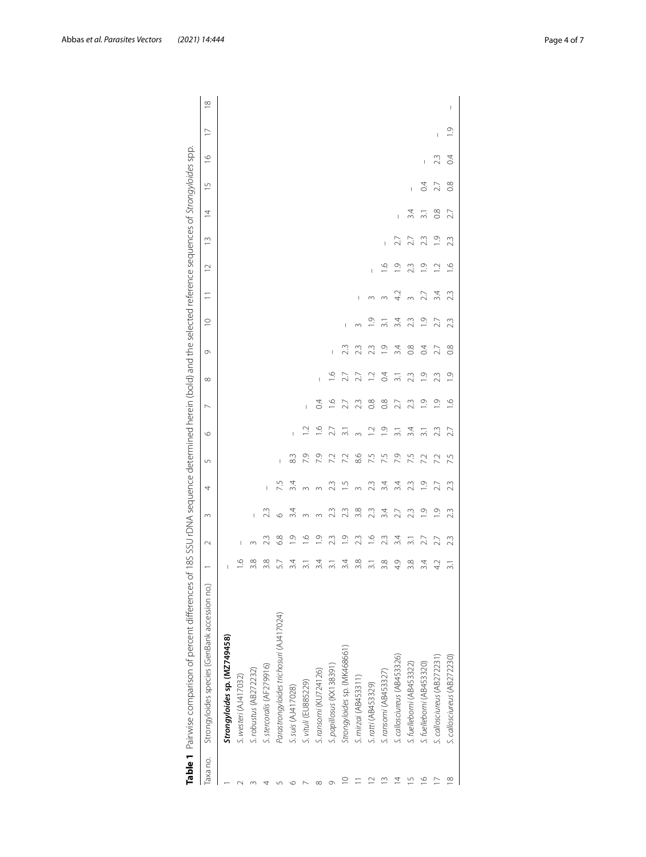|          | Table 1 Pairwise comparison of percent differences of 18S SSU rDNA sequence determined herein (bold) and the selected reference sequences of Strongyloides spp. |                 |                |                |               |        |                  |                |                  |               |                       |     |                         |                |                  |                |                |                |          |
|----------|-----------------------------------------------------------------------------------------------------------------------------------------------------------------|-----------------|----------------|----------------|---------------|--------|------------------|----------------|------------------|---------------|-----------------------|-----|-------------------------|----------------|------------------|----------------|----------------|----------------|----------|
| laxa no. | Strongyloides species (GenBank accession no.)                                                                                                                   |                 | $\sim$         | $\infty$       | 4             | $\cup$ | $\circ$          | $\overline{ }$ | $\infty$         | Ō             | $\supseteq$           | Ξ   | $\sim$                  | m              | $\overline{4}$   | $\overline{1}$ | $\frac{6}{1}$  | $\overline{1}$ | $\infty$ |
|          | Strongyloides sp. (MZ749458)                                                                                                                                    |                 |                |                |               |        |                  |                |                  |               |                       |     |                         |                |                  |                |                |                |          |
|          | S. westeri (AJ417032)                                                                                                                                           | $\circ$         | I              |                |               |        |                  |                |                  |               |                       |     |                         |                |                  |                |                |                |          |
|          | 5. robustus (AB272232)                                                                                                                                          | 3.8             |                |                |               |        |                  |                |                  |               |                       |     |                         |                |                  |                |                |                |          |
|          | S. stercoralis (AF279916)                                                                                                                                       | 3.8             | 23             | 23             |               |        |                  |                |                  |               |                       |     |                         |                |                  |                |                |                |          |
|          | Parastrongyloides trichosuri (AJ417024)                                                                                                                         | ŗ<br>57         | 6.8            |                | 57            | I      |                  |                |                  |               |                       |     |                         |                |                  |                |                |                |          |
|          | S. suis (AJ417028)                                                                                                                                              | 3.4             | O)             | 34             | 34            | 83     | I                |                |                  |               |                       |     |                         |                |                  |                |                |                |          |
|          | S. vituli (EU885229)                                                                                                                                            | ಸ               | $\circ$        |                |               | 7.9    |                  | Ī              |                  |               |                       |     |                         |                |                  |                |                |                |          |
|          | S. ransomi (KU724126)                                                                                                                                           | 3.4             | $\overline{0}$ |                |               | 7.9    | $\frac{6}{1}$    | $\overline{0}$ | ī                |               |                       |     |                         |                |                  |                |                |                |          |
|          | S. papillosus (KX138391)                                                                                                                                        |                 | 23             | 23             | 23            | 7.2    | 2.7              | $\frac{6}{1}$  | $\frac{6}{1}$    | Ï             |                       |     |                         |                |                  |                |                |                |          |
|          | Strongyloides sp. (MK468661)                                                                                                                                    | 3.4             | $\frac{1}{2}$  | 23             | ņ             | 7.2    | $\overline{31}$  | 2.7            | 2.7              | 23            | I                     |     |                         |                |                  |                |                |                |          |
|          | S. mirzai (AB453311)                                                                                                                                            | 3.8             | 23             | 3.8            |               | 8.6    | $\infty$         | 23             | 2.7              | 23            |                       |     |                         |                |                  |                |                |                |          |
|          | S. ratti (AB453329)                                                                                                                                             | $\overline{31}$ | $\frac{6}{1}$  | 23             | 23            | 7.5    | $\supseteq$      | 0.8            | $\overline{12}$  | 23            |                       |     | ī                       |                |                  |                |                |                |          |
|          | S. ransomi (AB453327)                                                                                                                                           | 3.8             | 23             | 3.4            | 3.4           | 7.5    | $\overline{0}$   | 0.8            | $\overline{0}$   | $\frac{1}{2}$ |                       |     | $\leq$                  |                |                  |                |                |                |          |
|          | S. callosciureus (AB453326)                                                                                                                                     | 4.9             | 3.4            | 2.7            | 3.4           | 7.9    | $\overline{3}$ . | 2.7            | $\overline{3}$ . | 3.4           | 3.4                   |     | Ō.                      | 2.7            | Ï                |                |                |                |          |
|          | S. fuelleborni (AB453322)                                                                                                                                       | 3.8             |                | 2.3            | 23            | 7.5    | 3.4              | 23             | 23               | $\frac{8}{2}$ | 23                    |     | 23                      |                | 34               | Ï              |                |                |          |
|          | S. fuelleborni (AB453320)                                                                                                                                       | 3.4             | 27             | $\overline{0}$ | $\frac{0}{1}$ | 72     | $\overline{31}$  | $\overline{0}$ | $\overline{0}$   | С4            | $\frac{\circ}{\circ}$ |     | $\circ$                 | 23             | $\overline{3}$ . | $\overline{0}$ | I              |                |          |
|          | S. callosciureus (AB272231                                                                                                                                      | 42              | 27             | $\overline{0}$ | 27            | 7.2    | 23               | $\overline{O}$ | 23               | 27            | 2.7                   | 3.4 | $\overline{\mathbf{C}}$ | $\overline{0}$ | $\frac{8}{2}$    | 2.7            | 23             | I              |          |
| ∝        | S. callosciureus (AB272230)                                                                                                                                     | $\overline{3}$  | 23             | 23             | 23            | 7.5    | 2.7              | ب              | $\frac{0}{1}$    | $\frac{8}{2}$ | 23                    | 23  | ِ                       | 23             | 2.7              | $\frac{8}{2}$  | $\overline{0}$ | O.             | I        |
|          |                                                                                                                                                                 |                 |                |                |               |        |                  |                |                  |               |                       |     |                         |                |                  |                |                |                |          |

<span id="page-3-0"></span>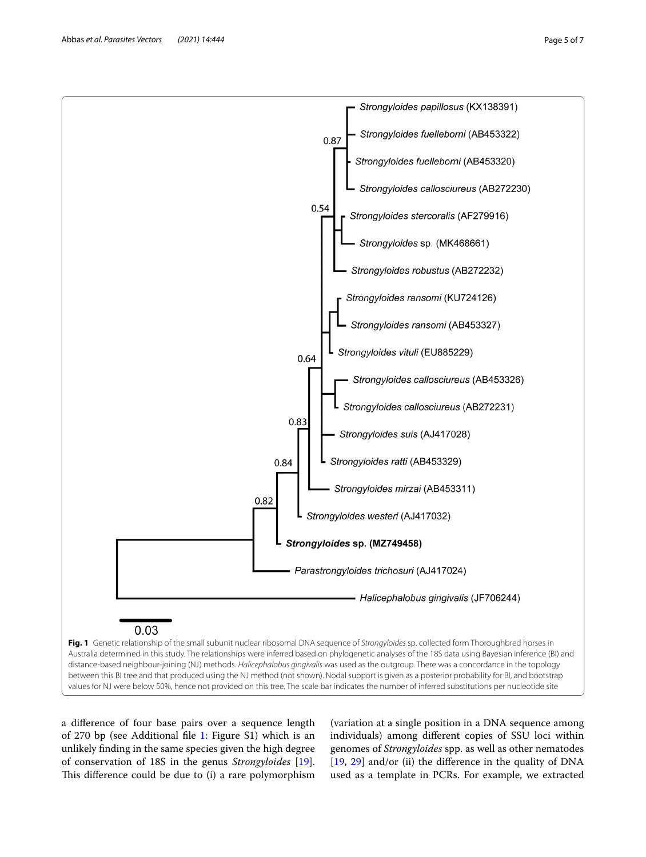Abbas *et al. Parasites Vectors (2021) 14:444* Page 5 of 7



<span id="page-4-0"></span>a diference of four base pairs over a sequence length of 270 bp (see Additional fle [1](#page-5-0): Figure S1) which is an unlikely fnding in the same species given the high degree of conservation of 18S in the genus *Strongyloides* [\[19](#page-6-12)]. This difference could be due to (i) a rare polymorphism

(variation at a single position in a DNA sequence among individuals) among diferent copies of SSU loci within genomes of *Strongyloides* spp. as well as other nematodes [[19,](#page-6-12) [29](#page-6-27)] and/or (ii) the diference in the quality of DNA used as a template in PCRs. For example, we extracted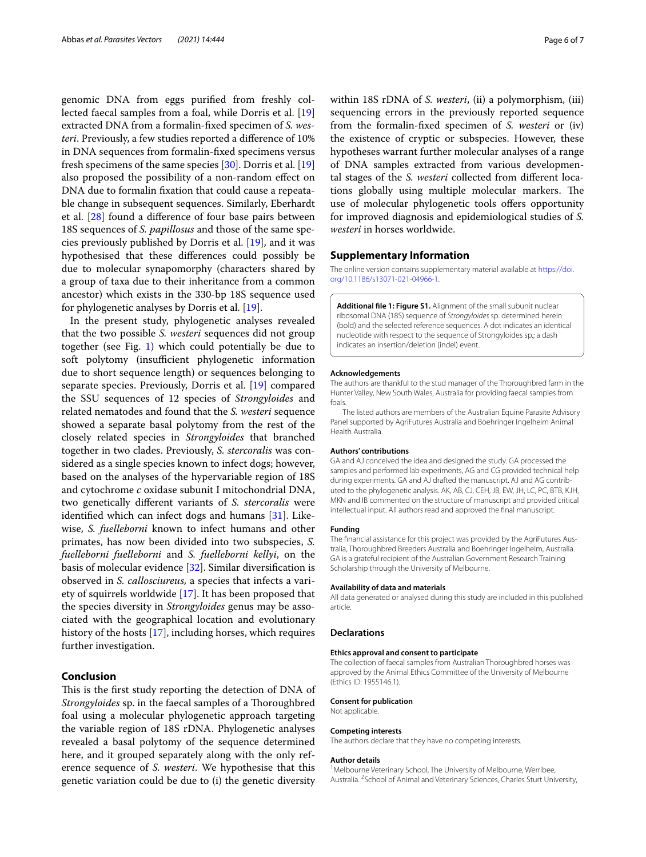genomic DNA from eggs purifed from freshly collected faecal samples from a foal, while Dorris et al. [[19](#page-6-12)] extracted DNA from a formalin-fxed specimen of *S. westeri*. Previously, a few studies reported a diference of 10% in DNA sequences from formalin-fxed specimens versus fresh specimens of the same species [\[30\]](#page-6-28). Dorris et al. [[19](#page-6-12)] also proposed the possibility of a non-random efect on DNA due to formalin fxation that could cause a repeatable change in subsequent sequences. Similarly, Eberhardt et al. [[28\]](#page-6-26) found a diference of four base pairs between 18S sequences of *S. papillosus* and those of the same species previously published by Dorris et al. [\[19](#page-6-12)], and it was hypothesised that these diferences could possibly be due to molecular synapomorphy (characters shared by a group of taxa due to their inheritance from a common ancestor) which exists in the 330-bp 18S sequence used for phylogenetic analyses by Dorris et al. [[19\]](#page-6-12).

In the present study, phylogenetic analyses revealed that the two possible *S. westeri* sequences did not group together (see Fig. [1](#page-4-0)) which could potentially be due to soft polytomy (insufficient phylogenetic information due to short sequence length) or sequences belonging to separate species. Previously, Dorris et al. [\[19](#page-6-12)] compared the SSU sequences of 12 species of *Strongyloides* and related nematodes and found that the *S. westeri* sequence showed a separate basal polytomy from the rest of the closely related species in *Strongyloides* that branched together in two clades. Previously, *S. stercoralis* was considered as a single species known to infect dogs; however, based on the analyses of the hypervariable region of 18S and cytochrome *c* oxidase subunit I mitochondrial DNA, two genetically diferent variants of *S. stercoralis* were identifed which can infect dogs and humans [[31\]](#page-6-29). Likewise, *S. fuelleborni* known to infect humans and other primates, has now been divided into two subspecies, *S. fuelleborni fuelleborni* and *S. fuelleborni kellyi*, on the basis of molecular evidence [[32](#page-6-30)]. Similar diversifcation is observed in *S. callosciureus,* a species that infects a variety of squirrels worldwide [\[17](#page-6-24)]. It has been proposed that the species diversity in *Strongyloides* genus may be associated with the geographical location and evolutionary history of the hosts [[17](#page-6-24)], including horses, which requires further investigation.

#### **Conclusion**

This is the first study reporting the detection of DNA of *Strongyloides* sp. in the faecal samples of a Thoroughbred foal using a molecular phylogenetic approach targeting the variable region of 18S rDNA. Phylogenetic analyses revealed a basal polytomy of the sequence determined here, and it grouped separately along with the only reference sequence of *S. westeri*. We hypothesise that this genetic variation could be due to (i) the genetic diversity within 18S rDNA of *S. westeri*, (ii) a polymorphism, (iii) sequencing errors in the previously reported sequence from the formalin-fxed specimen of *S. westeri* or (iv) the existence of cryptic or subspecies. However, these hypotheses warrant further molecular analyses of a range of DNA samples extracted from various developmental stages of the *S. westeri* collected from diferent locations globally using multiple molecular markers. The use of molecular phylogenetic tools offers opportunity for improved diagnosis and epidemiological studies of *S. westeri* in horses worldwide.

#### **Supplementary Information**

The online version contains supplementary material available at [https://doi.](https://doi.org/10.1186/s13071-021-04966-1) [org/10.1186/s13071-021-04966-1](https://doi.org/10.1186/s13071-021-04966-1).

<span id="page-5-0"></span>**Additional fle 1: Figure S1.** Alignment of the small subunit nuclear ribosomal DNA (18S) sequence of *Strongyloides* sp. determined herein (bold) and the selected reference sequences. A dot indicates an identical nucleotide with respect to the sequence of Strongyloides sp.; a dash indicates an insertion/deletion (indel) event.

#### **Acknowledgements**

The authors are thankful to the stud manager of the Thoroughbred farm in the Hunter Valley, New South Wales, Australia for providing faecal samples from foals.

The listed authors are members of the Australian Equine Parasite Advisory Panel supported by AgriFutures Australia and Boehringer Ingelheim Animal Health Australia.

#### **Authors' contributions**

GA and AJ conceived the idea and designed the study. GA processed the samples and performed lab experiments, AG and CG provided technical help during experiments. GA and AJ drafted the manuscript. AJ and AG contributed to the phylogenetic analysis. AK, AB, CJ, CEH, JB, EW, JH, LC, PC, BTB, KJH, MKN and IB commented on the structure of manuscript and provided critical intellectual input. All authors read and approved the fnal manuscript.

#### **Funding**

The fnancial assistance for this project was provided by the AgriFutures Aus‑ tralia, Thoroughbred Breeders Australia and Boehringer Ingelheim, Australia. GA is a grateful recipient of the Australian Government Research Training Scholarship through the University of Melbourne.

#### **Availability of data and materials**

All data generated or analysed during this study are included in this published article.

#### **Declarations**

#### **Ethics approval and consent to participate**

The collection of faecal samples from Australian Thoroughbred horses was approved by the Animal Ethics Committee of the University of Melbourne (Ethics ID: 1955146.1).

#### **Consent for publication**

Not applicable.

#### **Competing interests**

The authors declare that they have no competing interests.

#### **Author details**

<sup>1</sup> Melbourne Veterinary School, The University of Melbourne, Werribee, Australia. <sup>2</sup> School of Animal and Veterinary Sciences, Charles Sturt University,